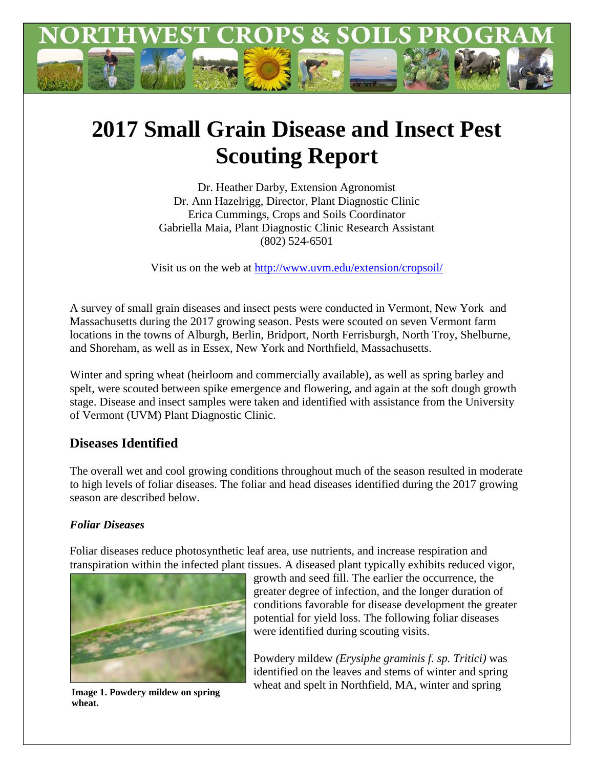

# **2017 Small Grain Disease and Insect Pest Scouting Report**

Dr. Heather Darby, Extension Agronomist Dr. Ann Hazelrigg, Director, Plant Diagnostic Clinic Erica Cummings, Crops and Soils Coordinator Gabriella Maia, Plant Diagnostic Clinic Research Assistant (802) 524-6501

Visit us on the web at<http://www.uvm.edu/extension/cropsoil/>

A survey of small grain diseases and insect pests were conducted in Vermont, New York and Massachusetts during the 2017 growing season. Pests were scouted on seven Vermont farm locations in the towns of Alburgh, Berlin, Bridport, North Ferrisburgh, North Troy, Shelburne, and Shoreham, as well as in Essex, New York and Northfield, Massachusetts.

Winter and spring wheat (heirloom and commercially available), as well as spring barley and spelt, were scouted between spike emergence and flowering, and again at the soft dough growth stage. Disease and insect samples were taken and identified with assistance from the University of Vermont (UVM) Plant Diagnostic Clinic.

## **Diseases Identified**

The overall wet and cool growing conditions throughout much of the season resulted in moderate to high levels of foliar diseases. The foliar and head diseases identified during the 2017 growing season are described below.

### *Foliar Diseases*

Foliar diseases reduce photosynthetic leaf area, use nutrients, and increase respiration and transpiration within the infected plant tissues. A diseased plant typically exhibits reduced vigor,



**wheat.**

growth and seed fill. The earlier the occurrence, the greater degree of infection, and the longer duration of conditions favorable for disease development the greater potential for yield loss. The following foliar diseases were identified during scouting visits.

Powdery mildew *(Erysiphe graminis f. sp. Tritici)* was identified on the leaves and stems of winter and spring **Image 1. Powdery mildew on spring Wheat and spelt in Northfield, MA, winter and spring**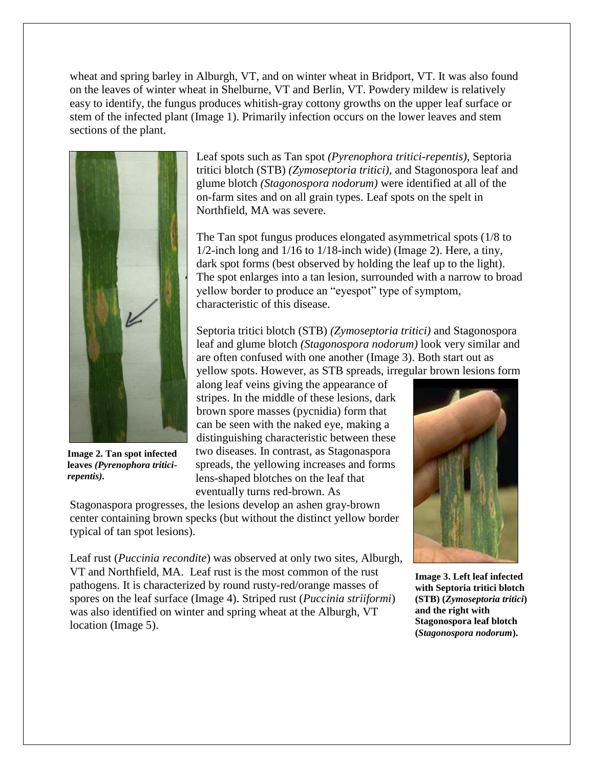wheat and spring barley in Alburgh, VT, and on winter wheat in Bridport, VT. It was also found on the leaves of winter wheat in Shelburne, VT and Berlin, VT. Powdery mildew is relatively easy to identify, the fungus produces whitish-gray cottony growths on the upper leaf surface or stem of the infected plant (Image 1). Primarily infection occurs on the lower leaves and stem sections of the plant.



**Image 2. Tan spot infected leaves** *(Pyrenophora triticirepentis).*

Leaf spots such as Tan spot *(Pyrenophora tritici-repentis),* Septoria tritici blotch (STB) *(Zymoseptoria tritici),* and Stagonospora leaf and glume blotch *(Stagonospora nodorum)* were identified at all of the on-farm sites and on all grain types. Leaf spots on the spelt in Northfield, MA was severe.

The Tan spot fungus produces elongated asymmetrical spots (1/8 to 1/2-inch long and 1/16 to 1/18-inch wide) (Image 2). Here, a tiny, dark spot forms (best observed by holding the leaf up to the light). The spot enlarges into a tan lesion, surrounded with a narrow to broad yellow border to produce an "eyespot" type of symptom, characteristic of this disease.

Septoria tritici blotch (STB) *(Zymoseptoria tritici)* and Stagonospora leaf and glume blotch *(Stagonospora nodorum)* look very similar and are often confused with one another (Image 3). Both start out as yellow spots. However, as STB spreads, irregular brown lesions form

along leaf veins giving the appearance of stripes. In the middle of these lesions, dark brown spore masses (pycnidia) form that can be seen with the naked eye, making a distinguishing characteristic between these two diseases. In contrast, as Stagonaspora spreads, the yellowing increases and forms lens-shaped blotches on the leaf that eventually turns red-brown. As

Stagonaspora progresses, the lesions develop an ashen gray-brown center containing brown specks (but without the distinct yellow border typical of tan spot lesions).

Leaf rust (*Puccinia recondite*) was observed at only two sites, Alburgh, VT and Northfield, MA. Leaf rust is the most common of the rust pathogens. It is characterized by round rusty-red/orange masses of spores on the leaf surface (Image 4). Striped rust (*Puccinia striiformi*) was also identified on winter and spring wheat at the Alburgh, VT location (Image 5).



**Image 3. Left leaf infected with Septoria tritici blotch (STB) (***Zymoseptoria tritici***) and the right with Stagonospora leaf blotch (***Stagonospora nodorum***).**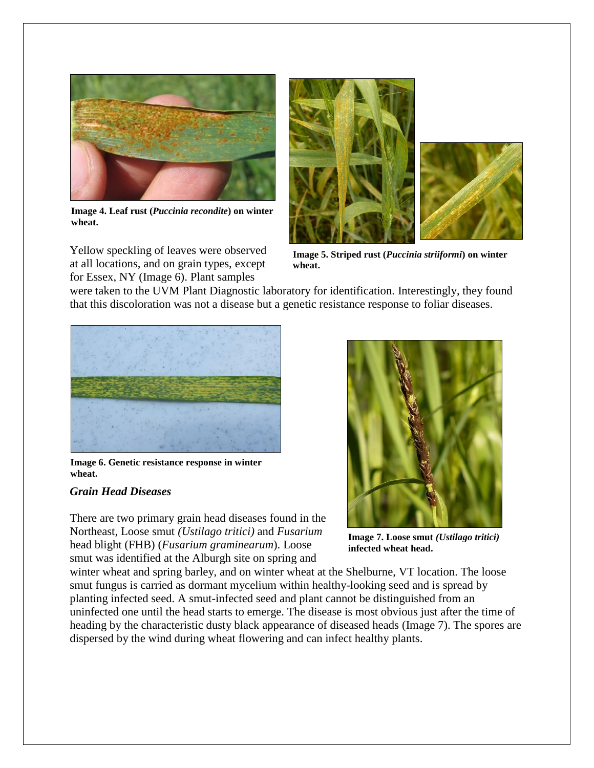

**Image 4. Leaf rust (***Puccinia recondite***) on winter wheat.**

Yellow speckling of leaves were observed at all locations, and on grain types, except for Essex, NY (Image 6). Plant samples



**Image 5. Striped rust (***Puccinia striiformi***) on winter wheat.**

were taken to the UVM Plant Diagnostic laboratory for identification. Interestingly, they found that this discoloration was not a disease but a genetic resistance response to foliar diseases.



**Image 6. Genetic resistance response in winter wheat.** 

#### *Grain Head Diseases*

There are two primary grain head diseases found in the Northeast, Loose smut *(Ustilago tritici)* and *Fusarium* head blight (FHB) (*Fusarium graminearum*). Loose smut was identified at the Alburgh site on spring and



**Image 7. Loose smut** *(Ustilago tritici)*  **infected wheat head.**

winter wheat and spring barley, and on winter wheat at the Shelburne, VT location. The loose smut fungus is carried as dormant mycelium within healthy-looking seed and is spread by planting infected seed. A smut-infected seed and plant cannot be distinguished from an uninfected one until the head starts to emerge. The disease is most obvious just after the time of heading by the characteristic dusty black appearance of diseased heads (Image 7). The spores are dispersed by the wind during wheat flowering and can infect healthy plants.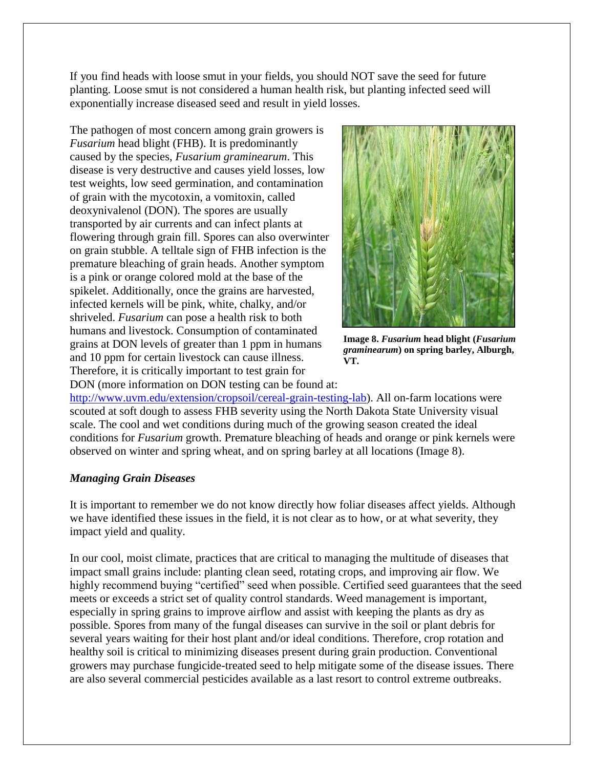If you find heads with loose smut in your fields, you should NOT save the seed for future planting. Loose smut is not considered a human health risk, but planting infected seed will exponentially increase diseased seed and result in yield losses.

The pathogen of most concern among grain growers is *Fusarium* head blight (FHB). It is predominantly caused by the species, *Fusarium graminearum*. This disease is very destructive and causes yield losses, low test weights, low seed germination, and contamination of grain with the mycotoxin, a vomitoxin, called deoxynivalenol (DON). The spores are usually transported by air currents and can infect plants at flowering through grain fill. Spores can also overwinter on grain stubble. A telltale sign of FHB infection is the premature bleaching of grain heads. Another symptom is a pink or orange colored mold at the base of the spikelet. Additionally, once the grains are harvested, infected kernels will be pink, white, chalky, and/or shriveled. *Fusarium* can pose a health risk to both humans and livestock. Consumption of contaminated grains at DON levels of greater than 1 ppm in humans and 10 ppm for certain livestock can cause illness. Therefore, it is critically important to test grain for DON (more information on DON testing can be found at:



**Image 8.** *Fusarium* **head blight (***Fusarium graminearum***) on spring barley, Alburgh, VT.**

[http://www.uvm.edu/extension/cropsoil/cereal-grain-testing-lab\)](http://www.uvm.edu/extension/cropsoil/cereal-grain-testing-lab). All on-farm locations were scouted at soft dough to assess FHB severity using the North Dakota State University visual scale. The cool and wet conditions during much of the growing season created the ideal conditions for *Fusarium* growth. Premature bleaching of heads and orange or pink kernels were observed on winter and spring wheat, and on spring barley at all locations (Image 8).

#### *Managing Grain Diseases*

It is important to remember we do not know directly how foliar diseases affect yields. Although we have identified these issues in the field, it is not clear as to how, or at what severity, they impact yield and quality.

In our cool, moist climate, practices that are critical to managing the multitude of diseases that impact small grains include: planting clean seed, rotating crops, and improving air flow. We highly recommend buying "certified" seed when possible. Certified seed guarantees that the seed meets or exceeds a strict set of quality control standards. Weed management is important, especially in spring grains to improve airflow and assist with keeping the plants as dry as possible. Spores from many of the fungal diseases can survive in the soil or plant debris for several years waiting for their host plant and/or ideal conditions. Therefore, crop rotation and healthy soil is critical to minimizing diseases present during grain production. Conventional growers may purchase fungicide-treated seed to help mitigate some of the disease issues. There are also several commercial pesticides available as a last resort to control extreme outbreaks.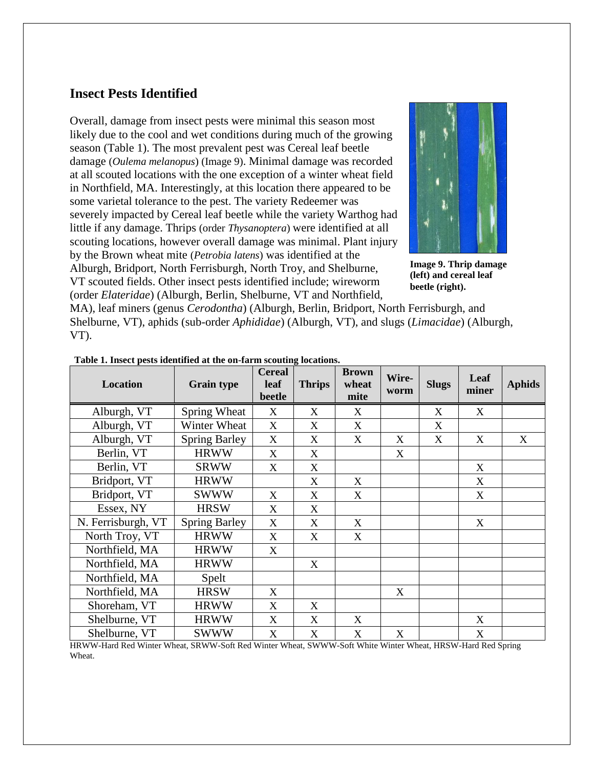## **Insect Pests Identified**

Overall, damage from insect pests were minimal this season most likely due to the cool and wet conditions during much of the growing season (Table 1). The most prevalent pest was Cereal leaf beetle damage (*Oulema melanopus*) (Image 9). Minimal damage was recorded at all scouted locations with the one exception of a winter wheat field in Northfield, MA. Interestingly, at this location there appeared to be some varietal tolerance to the pest. The variety Redeemer was severely impacted by Cereal leaf beetle while the variety Warthog had little if any damage. Thrips (order *Thysanoptera*) were identified at all scouting locations, however overall damage was minimal. Plant injury by the Brown wheat mite (*Petrobia latens*) was identified at the Alburgh, Bridport, North Ferrisburgh, North Troy, and Shelburne, VT scouted fields. Other insect pests identified include; wireworm (order *Elateridae*) (Alburgh, Berlin, Shelburne, VT and Northfield,



**Image 9. Thrip damage (left) and cereal leaf beetle (right).**

MA), leaf miners (genus *Cerodontha*) (Alburgh, Berlin, Bridport, North Ferrisburgh, and Shelburne, VT), aphids (sub-order *Aphididae*) (Alburgh, VT), and slugs (*Limacidae*) (Alburgh, VT).

| <b>Location</b>    | <b>Grain type</b>    | <b>Cereal</b><br>leaf<br>beetle | <b>Thrips</b>             | <b>Brown</b><br>wheat<br>mite | Wire-<br>worm | <b>Slugs</b> | Leaf<br>miner | <b>Aphids</b> |
|--------------------|----------------------|---------------------------------|---------------------------|-------------------------------|---------------|--------------|---------------|---------------|
| Alburgh, VT        | Spring Wheat         | X                               | X                         | X                             |               | X            | X             |               |
| Alburgh, VT        | Winter Wheat         | X                               | X                         | X                             |               | X            |               |               |
| Alburgh, VT        | <b>Spring Barley</b> | X                               | X                         | X                             | X             | X            | X             | X             |
| Berlin, VT         | <b>HRWW</b>          | X                               | X                         |                               | X             |              |               |               |
| Berlin, VT         | <b>SRWW</b>          | X                               | X                         |                               |               |              | X             |               |
| Bridport, VT       | <b>HRWW</b>          |                                 | X                         | X                             |               |              | X             |               |
| Bridport, VT       | <b>SWWW</b>          | X                               | $\boldsymbol{\mathrm{X}}$ | X                             |               |              | X             |               |
| Essex, NY          | <b>HRSW</b>          | X                               | X                         |                               |               |              |               |               |
| N. Ferrisburgh, VT | <b>Spring Barley</b> | X                               | X                         | X                             |               |              | X             |               |
| North Troy, VT     | <b>HRWW</b>          | X                               | X                         | X                             |               |              |               |               |
| Northfield, MA     | <b>HRWW</b>          | X                               |                           |                               |               |              |               |               |
| Northfield, MA     | <b>HRWW</b>          |                                 | X                         |                               |               |              |               |               |
| Northfield, MA     | Spelt                |                                 |                           |                               |               |              |               |               |
| Northfield, MA     | <b>HRSW</b>          | X                               |                           |                               | X             |              |               |               |
| Shoreham, VT       | <b>HRWW</b>          | X                               | X                         |                               |               |              |               |               |
| Shelburne, VT      | <b>HRWW</b>          | X                               | X                         | X                             |               |              | X             |               |
| Shelburne, VT      | <b>SWWW</b>          | X                               | X                         | $\boldsymbol{\mathrm{X}}$     | X             |              | X             |               |

**Table 1. Insect pests identified at the on-farm scouting locations.**

HRWW-Hard Red Winter Wheat, SRWW-Soft Red Winter Wheat, SWWW-Soft White Winter Wheat, HRSW-Hard Red Spring Wheat.